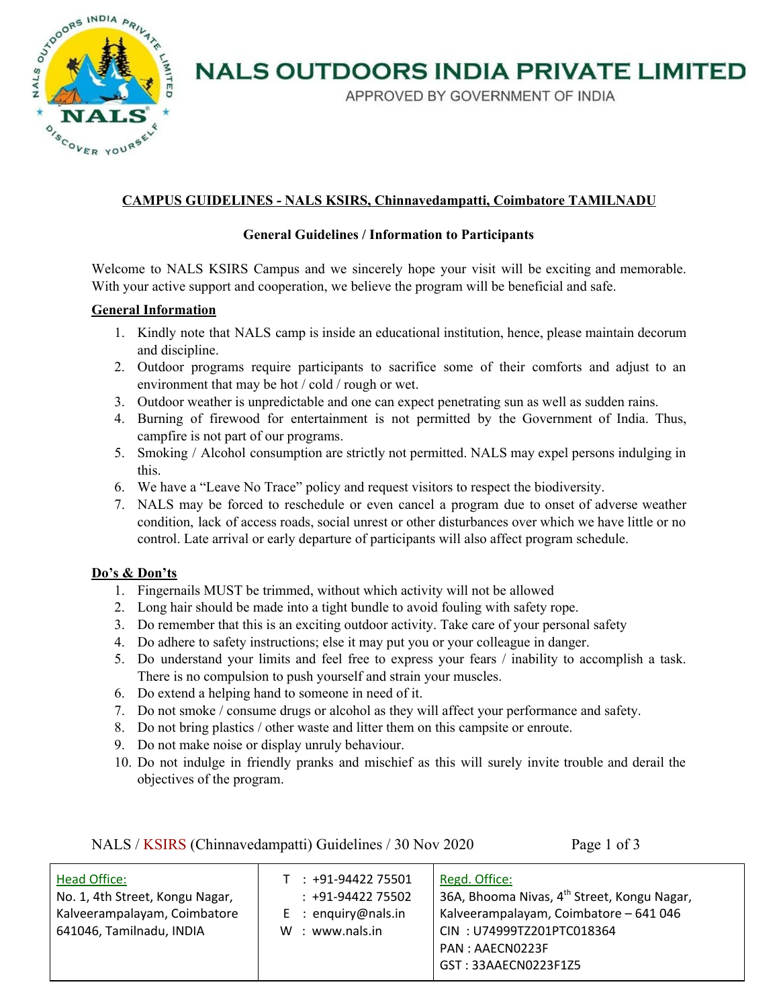

# **NALS OUTDOORS INDIA PRIVATE LIMITED**

APPROVED BY GOVERNMENT OF INDIA

### **CAMPUS GUIDELINES - NALS KSIRS, Chinnavedampatti, Coimbatore TAMILNADU**

#### **General Guidelines / Information to Participants**

Welcome to NALS KSIRS Campus and we sincerely hope your visit will be exciting and memorable. With your active support and cooperation, we believe the program will be beneficial and safe.

#### **General Information**

- 1. Kindly note that NALS camp is inside an educational institution, hence, please maintain decorum and discipline.
- 2. Outdoor programs require participants to sacrifice some of their comforts and adjust to an environment that may be hot / cold / rough or wet.
- 3. Outdoor weather is unpredictable and one can expect penetrating sun as well as sudden rains.
- 4. Burning of firewood for entertainment is not permitted by the Government of India. Thus, campfire is not part of our programs.
- 5. Smoking / Alcohol consumption are strictly not permitted. NALS may expel persons indulging in this.
- 6. We have a "Leave No Trace" policy and request visitors to respect the biodiversity.
- 7. NALS may be forced to reschedule or even cancel a program due to onset of adverse weather condition, lack of access roads, social unrest or other disturbances over which we have little or no control. Late arrival or early departure of participants will also affect program schedule.

#### **Do's & Don'ts**

- 1. Fingernails MUST be trimmed, without which activity will not be allowed
- 2. Long hair should be made into a tight bundle to avoid fouling with safety rope.
- 3. Do remember that this is an exciting outdoor activity. Take care of your personal safety
- 4. Do adhere to safety instructions; else it may put you or your colleague in danger.
- 5. Do understand your limits and feel free to express your fears / inability to accomplish a task. There is no compulsion to push yourself and strain your muscles.
- 6. Do extend a helping hand to someone in need of it.
- 7. Do not smoke / consume drugs or alcohol as they will affect your performance and safety.

NALS / KSIRS (Chinnavedampatti) Guidelines / 30 Nov 2020 Page 1 of 3

- 8. Do not bring plastics / other waste and litter them on this campsite or enroute.
- 9. Do not make noise or display unruly behaviour.
- 10. Do not indulge in friendly pranks and mischief as this will surely invite trouble and derail the objectives of the program.

| <b>Head Office:</b><br>No. 1, 4th Street, Kongu Nagar,<br>Kalveerampalayam, Coimbatore<br>641046, Tamilnadu, INDIA | $T : +91-9442275501$<br>$: +91-9442275502$<br>$E$ : enquiry@nals.in<br>W: www.nals.in | Regd. Office:<br>36A, Bhooma Nivas, 4 <sup>th</sup> Street, Kongu Nagar,<br>Kalveerampalayam, Coimbatore - 641 046<br>CIN: U74999TZ201PTC018364<br>PAN: AAECN0223F<br>GST: 33AAECN0223F1Z5 |
|--------------------------------------------------------------------------------------------------------------------|---------------------------------------------------------------------------------------|--------------------------------------------------------------------------------------------------------------------------------------------------------------------------------------------|
|                                                                                                                    |                                                                                       |                                                                                                                                                                                            |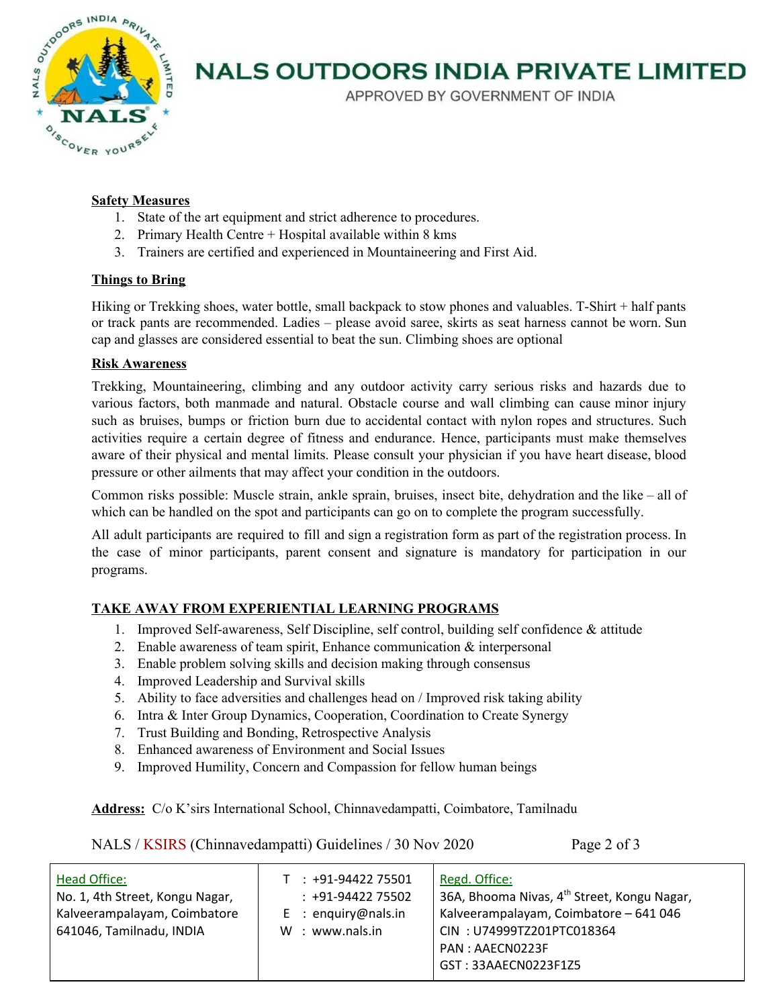

## **NALS OUTDOORS INDIA PRIVATE LIMITED**

APPROVED BY GOVERNMENT OF INDIA

#### **Safety Measures**

- 1. State of the art equipment and strict adherence to procedures.
- 2. Primary Health Centre + Hospital available within  $8 \text{ km}$
- 3. Trainers are certified and experienced in Mountaineering and First Aid.

#### **Things to Bring**

Hiking or Trekking shoes, water bottle, small backpack to stow phones and valuables. T-Shirt + half pants or track pants are recommended. Ladies – please avoid saree, skirts as seat harness cannot be worn. Sun cap and glasses are considered essential to beat the sun. Climbing shoes are optional

#### **Risk Awareness**

Trekking, Mountaineering, climbing and any outdoor activity carry serious risks and hazards due to various factors, both manmade and natural. Obstacle course and wall climbing can cause minor injury such as bruises, bumps or friction burn due to accidental contact with nylon ropes and structures. Such activities require a certain degree of fitness and endurance. Hence, participants must make themselves aware of their physical and mental limits. Please consult your physician if you have heart disease, blood pressure or other ailments that may affect your condition in the outdoors.

Common risks possible: Muscle strain, ankle sprain, bruises, insect bite, dehydration and the like – all of which can be handled on the spot and participants can go on to complete the program successfully.

All adult participants are required to fill and sign a registration form as part of the registration process. In the case of minor participants, parent consent and signature is mandatory for participation in our programs.

### **TAKE AWAY FROM EXPERIENTIAL LEARNING PROGRAMS**

- 1. Improved Self-awareness, Self Discipline, self control, building self confidence & attitude
- 2. Enable awareness of team spirit, Enhance communication  $\&$  interpersonal
- 3. Enable problem solving skills and decision making through consensus
- 4. Improved Leadership and Survival skills
- 5. Ability to face adversities and challenges head on / Improved risk taking ability
- 6. Intra & Inter Group Dynamics, Cooperation, Coordination to Create Synergy
- 7. Trust Building and Bonding, Retrospective Analysis
- 8. Enhanced awareness of Environment and Social Issues
- 9. Improved Humility, Concern and Compassion for fellow human beings

**Address:** C/o K'sirs International School, Chinnavedampatti, Coimbatore, Tamilnadu

NALS / KSIRS (Chinnavedampatti) Guidelines / 30 Nov 2020 Page 2 of 3

| <b>Head Office:</b><br>$T : +91-9442275501$<br>$: +91-9442275502$<br>No. 1, 4th Street, Kongu Nagar,<br>Kalveerampalayam, Coimbatore<br>$E$ : enquiry@nals.in<br>641046, Tamilnadu, INDIA<br>W : www.nals.in | Regd. Office:<br>36A, Bhooma Nivas, 4 <sup>th</sup> Street, Kongu Nagar,<br>Kalveerampalayam, Coimbatore - 641 046<br>CIN: U74999TZ201PTC018364<br>PAN: AAECN0223F<br>GST: 33AAECN0223F1Z5 |
|--------------------------------------------------------------------------------------------------------------------------------------------------------------------------------------------------------------|--------------------------------------------------------------------------------------------------------------------------------------------------------------------------------------------|
|--------------------------------------------------------------------------------------------------------------------------------------------------------------------------------------------------------------|--------------------------------------------------------------------------------------------------------------------------------------------------------------------------------------------|